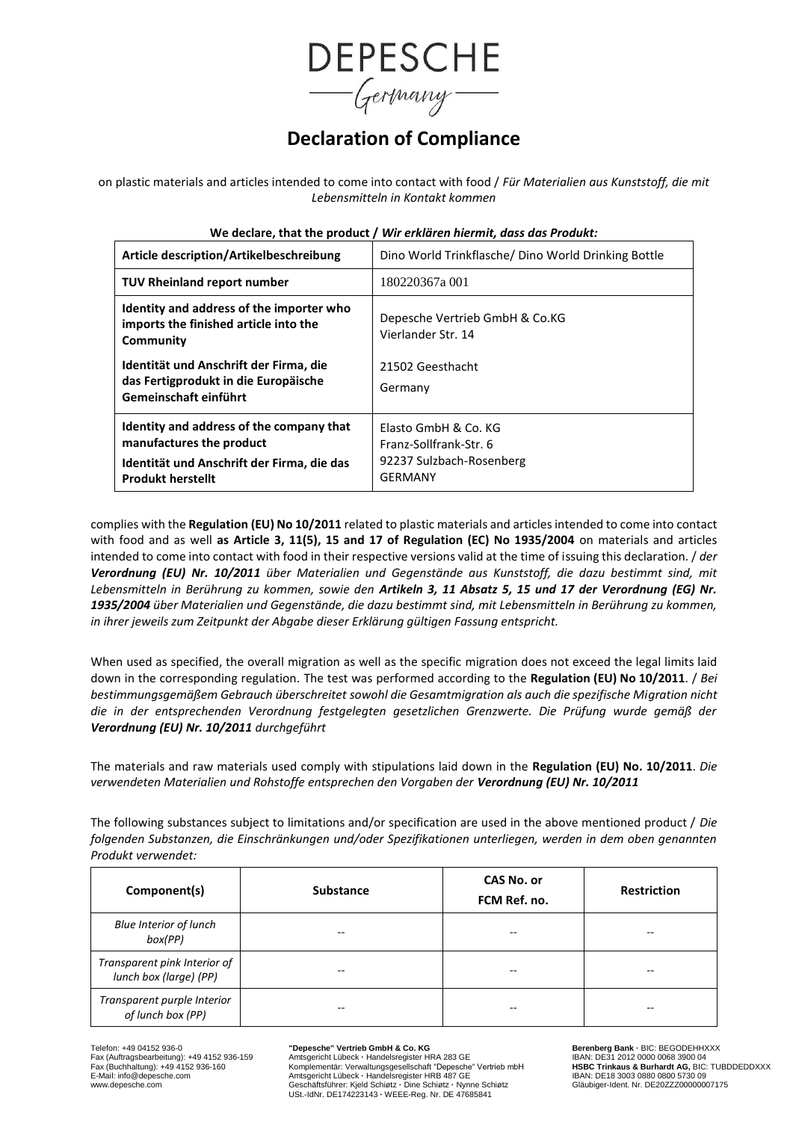

# **Declaration of Compliance**

on plastic materials and articles intended to come into contact with food / *Für Materialien aus Kunststoff, die mit Lebensmitteln in Kontakt kommen*

| Article description/Artikelbeschreibung                                                                                                                                          | Dino World Trinkflasche/ Dino World Drinking Bottle                                 |  |  |  |
|----------------------------------------------------------------------------------------------------------------------------------------------------------------------------------|-------------------------------------------------------------------------------------|--|--|--|
| TUV Rheinland report number                                                                                                                                                      | 180220367a 001                                                                      |  |  |  |
| Identity and address of the importer who<br>imports the finished article into the<br>Community<br>Identität und Anschrift der Firma, die<br>das Fertigprodukt in die Europäische | Depesche Vertrieb GmbH & Co.KG<br>Vierlander Str. 14<br>21502 Geesthacht<br>Germany |  |  |  |
| Gemeinschaft einführt<br>Identity and address of the company that                                                                                                                | Elasto GmbH & Co. KG                                                                |  |  |  |
| manufactures the product                                                                                                                                                         | Franz-Sollfrank-Str. 6<br>92237 Sulzbach-Rosenberg                                  |  |  |  |
| Identität und Anschrift der Firma, die das<br><b>Produkt herstellt</b>                                                                                                           | <b>GERMANY</b>                                                                      |  |  |  |

#### **We declare, that the product /** *Wir erklären hiermit, dass das Produkt:*

complies with the **Regulation (EU) No 10/2011** related to plastic materials and articles intended to come into contact with food and as well **as Article 3, 11(5), 15 and 17 of Regulation (EC) No 1935/2004** on materials and articles intended to come into contact with food in their respective versions valid at the time of issuing this declaration. / *der Verordnung (EU) Nr. 10/2011 über Materialien und Gegenstände aus Kunststoff, die dazu bestimmt sind, mit Lebensmitteln in Berührung zu kommen, sowie den Artikeln 3, 11 Absatz 5, 15 und 17 der Verordnung (EG) Nr. 1935/2004 über Materialien und Gegenstände, die dazu bestimmt sind, mit Lebensmitteln in Berührung zu kommen, in ihrer jeweils zum Zeitpunkt der Abgabe dieser Erklärung gültigen Fassung entspricht.*

When used as specified, the overall migration as well as the specific migration does not exceed the legal limits laid down in the corresponding regulation. The test was performed according to the **Regulation (EU) No 10/2011**. / *Bei bestimmungsgemäßem Gebrauch überschreitet sowohl die Gesamtmigration als auch die spezifische Migration nicht die in der entsprechenden Verordnung festgelegten gesetzlichen Grenzwerte. Die Prüfung wurde gemäß der Verordnung (EU) Nr. 10/2011 durchgeführt*

The materials and raw materials used comply with stipulations laid down in the **Regulation (EU) No. 10/2011**. *Die verwendeten Materialien und Rohstoffe entsprechen den Vorgaben der Verordnung (EU) Nr. 10/2011*

The following substances subject to limitations and/or specification are used in the above mentioned product / *Die folgenden Substanzen, die Einschränkungen und/oder Spezifikationen unterliegen, werden in dem oben genannten Produkt verwendet:*

| Component(s)                                           | <b>Substance</b> | <b>CAS No. or</b><br>FCM Ref. no. | <b>Restriction</b> |
|--------------------------------------------------------|------------------|-----------------------------------|--------------------|
| <b>Blue Interior of lunch</b><br>box(PP)               |                  | --                                | --                 |
| Transparent pink Interior of<br>lunch box (large) (PP) | --               | --                                | --                 |
| Transparent purple Interior<br>of lunch box (PP)       | --               | --                                | --                 |

Telefon: +49 04152 936-0 **"Depesche" Vertrieb GmbH & Co. KG Berenberg Bank ·** BIC: BEGODEHHXXX

Fax (Auftragsbearbeitung): +49 4152 936-159<br>
Fax (Auftragsbearbeitung): +49 4152 936-159 Amtsgericht Lübeck · Handelsregister HRA 283 GE IBAN: DE31 2012 0000 0068 3900 04<br>
Fax (Buchhaltung): +49 4152 936-160 Komplementär: Fax (Buchhaltung): +49 4152 936-160 Komplementär: Verwaltungsgesellschaft "Depesche" Vertrieb mbH **HSBC Trinkaus & Burhardt AG,** BIC: TUBDDEDDXXX<br>E-Mail: info@depesche.com Amtsgericht Lübeck - Handels www.depesche.com Gesche.com Communications of the Communications of the Communications of the Communications of the Communications of the Communications of the Communications of the Communications of the Communications of USt.-IdNr. DE174223143 **·** WEEE-Reg. Nr. DE 47685841